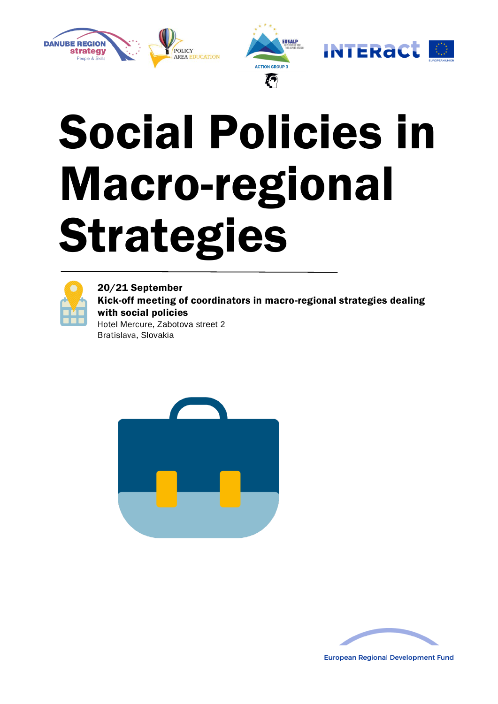

## Social Policies in Macro-regional Strategies



20/21 September Kick-off meeting of coordinators in macro-regional strategies dealing with social policies Hotel Mercure, Zabotova street 2 Bratislava, Slovakia





**European Regional Development Fund**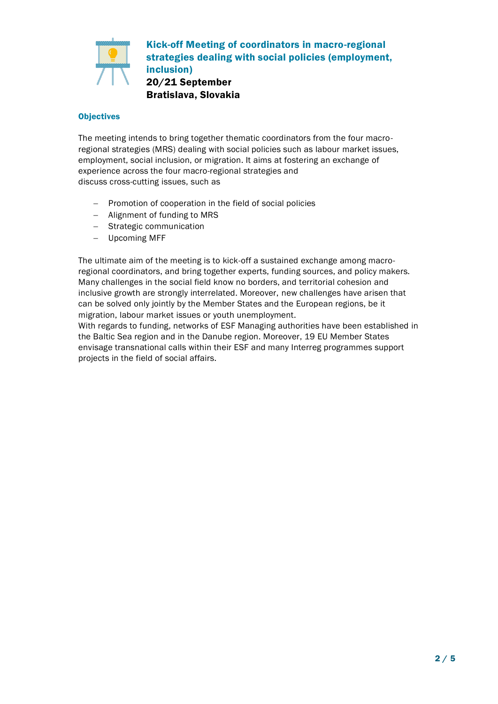

Kick-off Meeting of coordinators in macro-regional strategies dealing with social policies (employment, inclusion) 20/21 September Bratislava, Slovakia

## **Objectives**

The meeting intends to bring together thematic coordinators from the four macroregional strategies (MRS) dealing with social policies such as labour market issues, employment, social inclusion, or migration. It aims at fostering an exchange of experience across the four macro-regional strategies and discuss cross-cutting issues, such as

- Promotion of cooperation in the field of social policies
- Alignment of funding to MRS
- Strategic communication
- Upcoming MFF

The ultimate aim of the meeting is to kick-off a sustained exchange among macroregional coordinators, and bring together experts, funding sources, and policy makers. Many challenges in the social field know no borders, and territorial cohesion and inclusive growth are strongly interrelated. Moreover, new challenges have arisen that can be solved only jointly by the Member States and the European regions, be it migration, labour market issues or youth unemployment.

With regards to funding, networks of ESF Managing authorities have been established in the Baltic Sea region and in the Danube region. Moreover, 19 EU Member States envisage transnational calls within their ESF and many Interreg programmes support projects in the field of social affairs.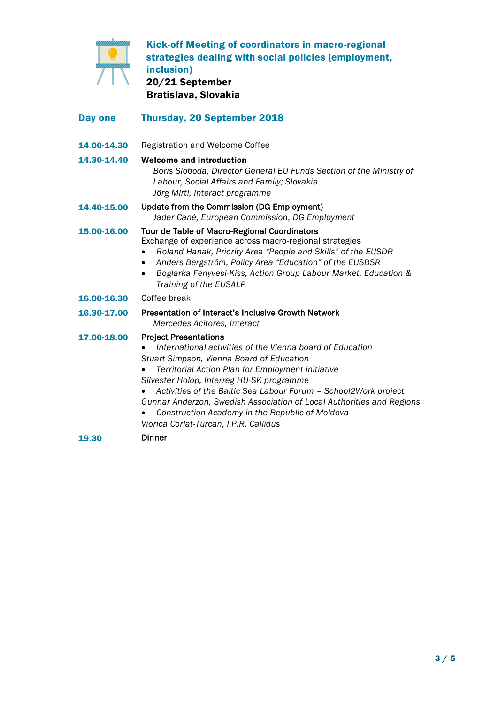

Kick-off Meeting of coordinators in macro-regional strategies dealing with social policies (employment, inclusion) 20/21 September Bratislava, Slovakia

| Day one     | <b>Thursday, 20 September 2018</b>                                                                                                                                                                                                                                                                                              |
|-------------|---------------------------------------------------------------------------------------------------------------------------------------------------------------------------------------------------------------------------------------------------------------------------------------------------------------------------------|
| 14.00-14.30 | Registration and Welcome Coffee                                                                                                                                                                                                                                                                                                 |
| 14.30-14.40 | <b>Welcome and introduction</b><br>Boris Sloboda, Director General EU Funds Section of the Ministry of<br>Labour, Social Affairs and Family; Slovakia<br>Jörg Mirtl, Interact programme                                                                                                                                         |
| 14.40-15.00 | Update from the Commission (DG Employment)<br>Jader Cané, European Commission, DG Employment                                                                                                                                                                                                                                    |
| 15.00-16.00 | Tour de Table of Macro-Regional Coordinators<br>Exchange of experience across macro-regional strategies<br>Roland Hanak, Priority Area "People and Skills" of the EUSDR<br>Anders Bergström, Policy Area "Education" of the EUSBSR<br>Boglarka Fenyvesi-Kiss, Action Group Labour Market, Education &<br>Training of the EUSALP |

- 16.00-16.30 Coffee break
- 16.30-17.00 Presentation of Interact's Inclusive Growth Network *Mercedes Acitores, Interact*
- 17.00-18.00 Project Presentations
	- *International activities of the Vienna board of Education Stuart Simpson, Vienna Board of Education*
	- *Territorial Action Plan for Employment initiative*
	- *Silvester Holop, Interreg HU-SK programme*
	- *Activities of the Baltic Sea Labour Forum – School2Work project Gunnar Anderzon, Swedish Association of Local Authorities and Regions*
	- *Construction Academy in the Republic of Moldova*
	- *Viorica Corlat-Turcan, I.P.R. Callidus*
- 19.30 Dinner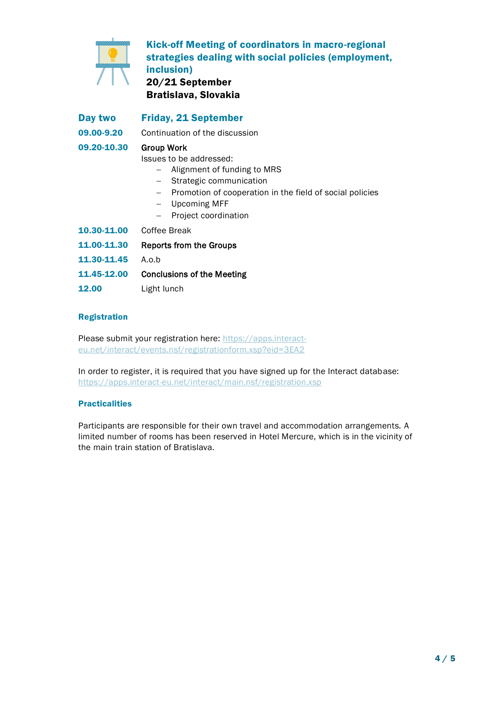

Kick-off Meeting of coordinators in macro-regional strategies dealing with social policies (employment, inclusion) 20/21 September

Bratislava, Slovakia

Day two Friday, 21 September 09.00-9.20 Continuation of the discussion 09.20-10.30 Group Work Issues to be addressed: - Alignment of funding to MRS - Strategic communication Promotion of cooperation in the field of social policies

- Upcoming MFF
- Project coordination
- 10.30-11.00 Coffee Break

11.00-11.30 Reports from the Groups

- 11.30-11.45 A.o.b
- 11.45-12.00 Conclusions of the Meeting
- 12.00 Light lunch

## Registration

Please submit your registration here: [https://apps.interact](https://apps.interact-eu.net/interact/events.nsf/registrationform.xsp?eid=3EA2)[eu.net/interact/events.nsf/registrationform.xsp?eid=3EA2](https://apps.interact-eu.net/interact/events.nsf/registrationform.xsp?eid=3EA2)

In order to register, it is required that you have signed up for the Interact database: <https://apps.interact-eu.net/interact/main.nsf/registration.xsp>

## **Practicalities**

Participants are responsible for their own travel and accommodation arrangements. A limited number of rooms has been reserved in Hotel Mercure, which is in the vicinity of the main train station of Bratislava.